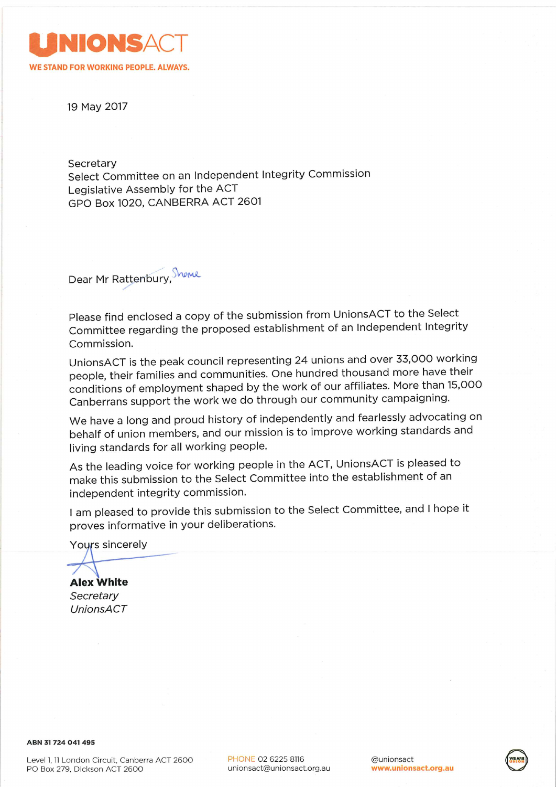

19 May 2017

Secretary

Select Committee on an Independent Integrity Commission Legislative Assembly for the ACT GPO Box 1020, CANBERRA ACT 2601

Dear Mr Rattenbury, Showe

Please find enclosed a copy of the submission from UnionsACT to the Select Committee regarding the proposed establishment of an Independent Integrity Commission.

UnionsACT is the peak council representing 24 unions and over 33,000 working people, their families and communities. One hundred thousand more have their conditions of employment shaped by the work of our affiliates. More than 15,000 Canberrans support the work we do through our community campaigning.

We have a long and proud history of independently and fearlessly advocating on behalf of union members, and our mission is to improve working standards and living standards for all working people.

As the leading voice for working people in the ACT, UnionsACT is pleased to make this submission to the Select Committee into the establishment of an independent integrity commission.

I am pleased to provide this submission to the Select Committee, and I hope it proves informative in your deliberations.

Yours sincerely

**Alex White** Secretary **UnionsACT**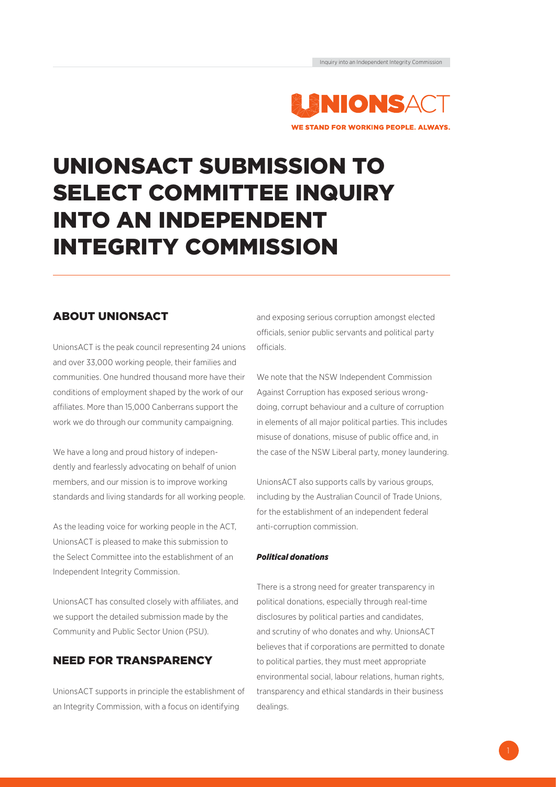

# UNIONSACT SUBMISSION TO SELECT COMMITTEE INQUIRY INTO AN INDEPENDENT INTEGRITY COMMISSION

# ABOUT UNIONSACT

UnionsACT is the peak council representing 24 unions and over 33,000 working people, their families and communities. One hundred thousand more have their conditions of employment shaped by the work of our affiliates. More than 15,000 Canberrans support the work we do through our community campaigning.

We have a long and proud history of independently and fearlessly advocating on behalf of union members, and our mission is to improve working standards and living standards for all working people.

As the leading voice for working people in the ACT, UnionsACT is pleased to make this submission to the Select Committee into the establishment of an Independent Integrity Commission.

UnionsACT has consulted closely with affiliates, and we support the detailed submission made by the Community and Public Sector Union (PSU).

## NEED FOR TRANSPARENCY

UnionsACT supports in principle the establishment of an Integrity Commission, with a focus on identifying

and exposing serious corruption amongst elected officials, senior public servants and political party officials.

We note that the NSW Independent Commission Against Corruption has exposed serious wrongdoing, corrupt behaviour and a culture of corruption in elements of all major political parties. This includes misuse of donations, misuse of public office and, in the case of the NSW Liberal party, money laundering.

UnionsACT also supports calls by various groups, including by the Australian Council of Trade Unions, for the establishment of an independent federal anti-corruption commission.

### *Political donations*

There is a strong need for greater transparency in political donations, especially through real-time disclosures by political parties and candidates, and scrutiny of who donates and why. UnionsACT believes that if corporations are permitted to donate to political parties, they must meet appropriate environmental social, labour relations, human rights, transparency and ethical standards in their business dealings.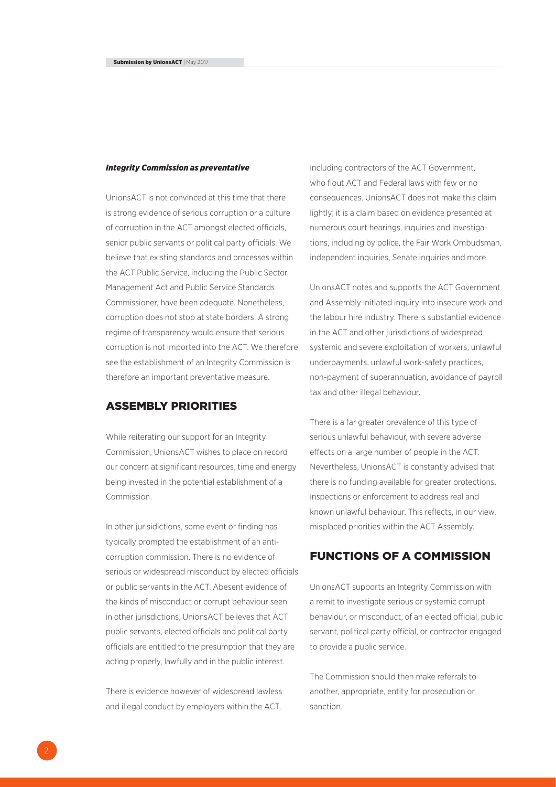#### *Integrity Commission as preventative*

UnionsACT is not convinced at this time that there is strong evidence of serious corruption or a culture of corruption in the ACT amongst elected officials, senior public servants or political party officials. We believe that existing standards and processes within the ACT Public Service, including the Public Sector Management Act and Public Service Standards Commissioner, have been adequate. Nonetheless, corruption does not stop at state borders. A strong regime of transparency would ensure that serious corruption is not imported into the ACT. We therefore see the establishment of an Integrity Commission is therefore an important preventative measure.

## ASSEMBLY PRIORITIES

While reiterating our support for an Integrity Commission, UnionsACT wishes to place on record our concern at significant resources, time and energy being invested in the potential establishment of a Commission.

In other jurisidictions, some event or finding has typically prompted the establishment of an anticorruption commission. There is no evidence of serious or widespread misconduct by elected officials or public servants in the ACT. Abesent evidence of the kinds of misconduct or corrupt behaviour seen in other jurisdictions, UnionsACT believes that ACT public servants, elected officials and political party officials are entitled to the presumption that they are acting properly, lawfully and in the public interest.

There is evidence however of widespread lawless and illegal conduct by employers within the ACT,

including contractors of the ACT Government, who flout ACT and Federal laws with few or no consequences. UnionsACT does not make this claim lightly; it is a claim based on evidence presented at numerous court hearings, inquiries and investigations, including by police, the Fair Work Ombudsman, independent inquiries, Senate inquiries and more.

UnionsACT notes and supports the ACT Government and Assembly initiated inquiry into insecure work and the labour hire industry. There is substantial evidence in the ACT and other jurisdictions of widespread, systemic and severe exploitation of workers, unlawful underpayments, unlawful work-safety practices, non-payment of superannuation, avoidance of payroll tax and other illegal behaviour.

There is a far greater prevalence of this type of serious unlawful behaviour, with severe adverse effects on a large number of people in the ACT. Nevertheless, UnionsACT is constantly advised that there is no funding available for greater protections, inspections or enforcement to address real and known unlawful behaviour. This reflects, in our view, misplaced priorities within the ACT Assembly.

## FUNCTIONS OF A COMMISSION

UnionsACT supports an Integrity Commission with a remit to investigate serious or systemic corrupt behaviour, or misconduct, of an elected official, public servant, political party official, or contractor engaged to provide a public service.

The Commission should then make referrals to another, appropriate, entity for prosecution or sanction.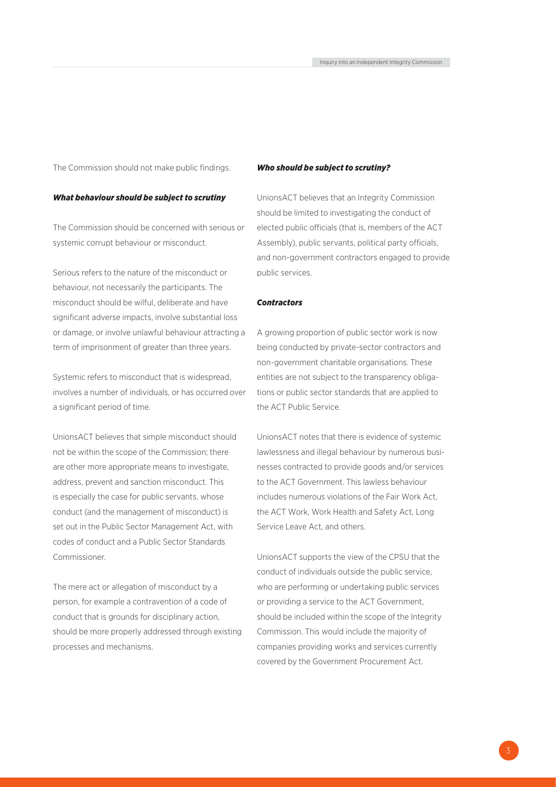The Commission should not make public findings.

#### *What behaviour should be subject to scrutiny*

The Commission should be concerned with serious or systemic corrupt behaviour or misconduct.

Serious refers to the nature of the misconduct or behaviour, not necessarily the participants. The misconduct should be wilful, deliberate and have significant adverse impacts, involve substantial loss or damage, or involve unlawful behaviour attracting a term of imprisonment of greater than three years.

Systemic refers to misconduct that is widespread, involves a number of individuals, or has occurred over a significant period of time.

UnionsACT believes that simple misconduct should not be within the scope of the Commission; there are other more appropriate means to investigate, address, prevent and sanction misconduct. This is especially the case for public servants, whose conduct (and the management of misconduct) is set out in the Public Sector Management Act, with codes of conduct and a Public Sector Standards Commissioner.

The mere act or allegation of misconduct by a person, for example a contravention of a code of conduct that is grounds for disciplinary action, should be more properly addressed through existing processes and mechanisms.

#### *Who should be subject to scrutiny?*

UnionsACT believes that an Integrity Commission should be limited to investigating the conduct of elected public officials (that is, members of the ACT Assembly), public servants, political party officials, and non-government contractors engaged to provide public services.

#### *Contractors*

A growing proportion of public sector work is now being conducted by private-sector contractors and non-government charitable organisations. These entities are not subject to the transparency obligations or public sector standards that are applied to the ACT Public Service.

UnionsACT notes that there is evidence of systemic lawlessness and illegal behaviour by numerous businesses contracted to provide goods and/or services to the ACT Government. This lawless behaviour includes numerous violations of the Fair Work Act, the ACT Work, Work Health and Safety Act, Long Service Leave Act, and others.

UnionsACT supports the view of the CPSU that the conduct of individuals outside the public service, who are performing or undertaking public services or providing a service to the ACT Government, should be included within the scope of the Integrity Commission. This would include the majority of companies providing works and services currently covered by the Government Procurement Act.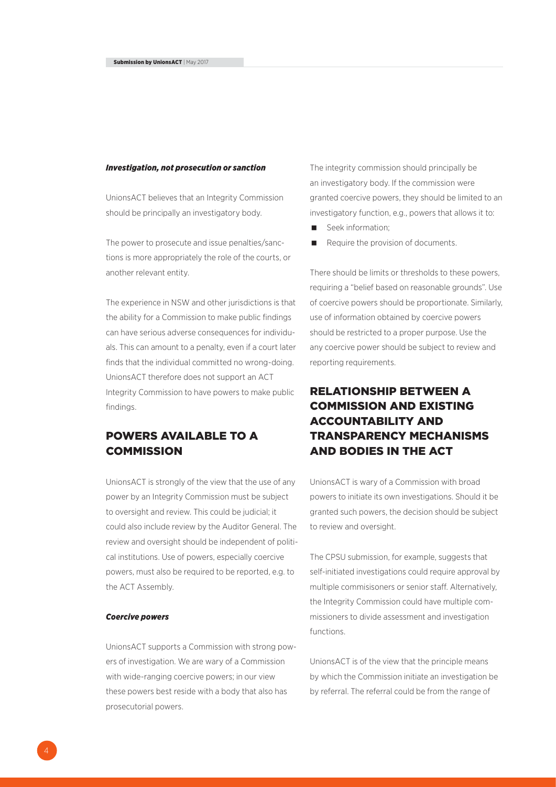#### *Investigation, not prosecution or sanction*

UnionsACT believes that an Integrity Commission should be principally an investigatory body.

The power to prosecute and issue penalties/sanctions is more appropriately the role of the courts, or another relevant entity.

The experience in NSW and other jurisdictions is that the ability for a Commission to make public findings can have serious adverse consequences for individuals. This can amount to a penalty, even if a court later finds that the individual committed no wrong-doing. UnionsACT therefore does not support an ACT Integrity Commission to have powers to make public findings.

## POWERS AVAILABLE TO A **COMMISSION**

UnionsACT is strongly of the view that the use of any power by an Integrity Commission must be subject to oversight and review. This could be judicial; it could also include review by the Auditor General. The review and oversight should be independent of political institutions. Use of powers, especially coercive powers, must also be required to be reported, e.g. to the ACT Assembly.

#### *Coercive powers*

UnionsACT supports a Commission with strong powers of investigation. We are wary of a Commission with wide-ranging coercive powers; in our view these powers best reside with a body that also has prosecutorial powers.

The integrity commission should principally be an investigatory body. If the commission were granted coercive powers, they should be limited to an investigatory function, e.g., powers that allows it to:

- Seek information;
- Require the provision of documents.

There should be limits or thresholds to these powers, requiring a "belief based on reasonable grounds". Use of coercive powers should be proportionate. Similarly, use of information obtained by coercive powers should be restricted to a proper purpose. Use the any coercive power should be subject to review and reporting requirements.

# RELATIONSHIP BETWEEN A COMMISSION AND EXISTING ACCOUNTABILITY AND TRANSPARENCY MECHANISMS AND BODIES IN THE ACT

UnionsACT is wary of a Commission with broad powers to initiate its own investigations. Should it be granted such powers, the decision should be subject to review and oversight.

The CPSU submission, for example, suggests that self-initiated investigations could require approval by multiple commisisoners or senior staff. Alternatively, the Integrity Commission could have multiple commissioners to divide assessment and investigation functions.

UnionsACT is of the view that the principle means by which the Commission initiate an investigation be by referral. The referral could be from the range of